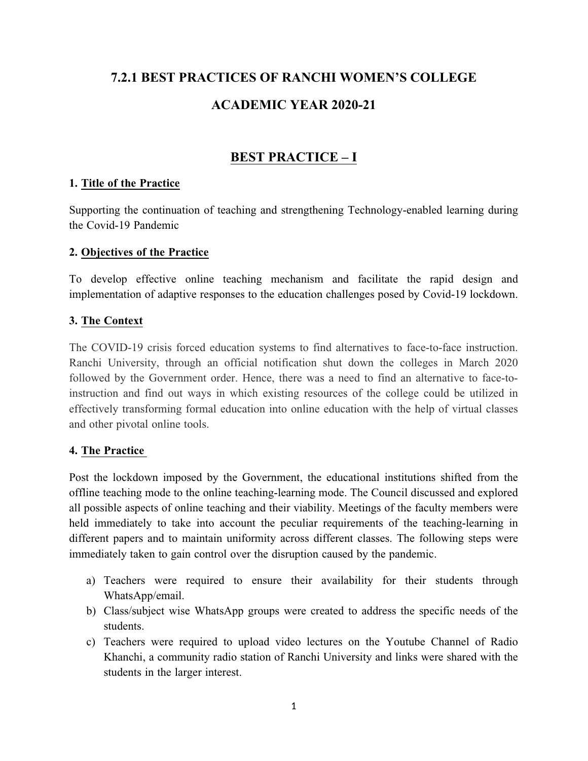# **7.2.1 BEST PRACTICES OF RANCHI WOMEN'S COLLEGE ACADEMIC YEAR 2020-21**

## **BEST PRACTICE – I**

## **1. Title of the Practice**

Supporting the continuation of teaching and strengthening Technology-enabled learning during the Covid-19 Pandemic

## **2. Objectives of the Practice**

To develop effective online teaching mechanism and facilitate the rapid design and implementation of adaptive responses to the education challenges posed by Covid-19 lockdown.

## **3. The Context**

The COVID-19 crisis forced education systems to find alternatives to face-to-face instruction. Ranchi University, through an official notification shut down the colleges in March 2020 followed by the Government order. Hence, there was a need to find an alternative to face-toinstruction and find out ways in which existing resources of the college could be utilized in effectively transforming formal education into online education with the help of virtual classes and other pivotal online tools.

## **4. The Practice**

Post the lockdown imposed by the Government, the educational institutions shifted from the offline teaching mode to the online teaching-learning mode. The Council discussed and explored all possible aspects of online teaching and their viability. Meetings of the faculty members were held immediately to take into account the peculiar requirements of the teaching-learning in different papers and to maintain uniformity across different classes. The following steps were immediately taken to gain control over the disruption caused by the pandemic.

- a) Teachers were required to ensure their availability for their students through WhatsApp/email.
- b) Class/subject wise WhatsApp groups were created to address the specific needs of the students.
- c) Teachers were required to upload video lectures on the Youtube Channel of Radio Khanchi, a community radio station of Ranchi University and links were shared with the students in the larger interest.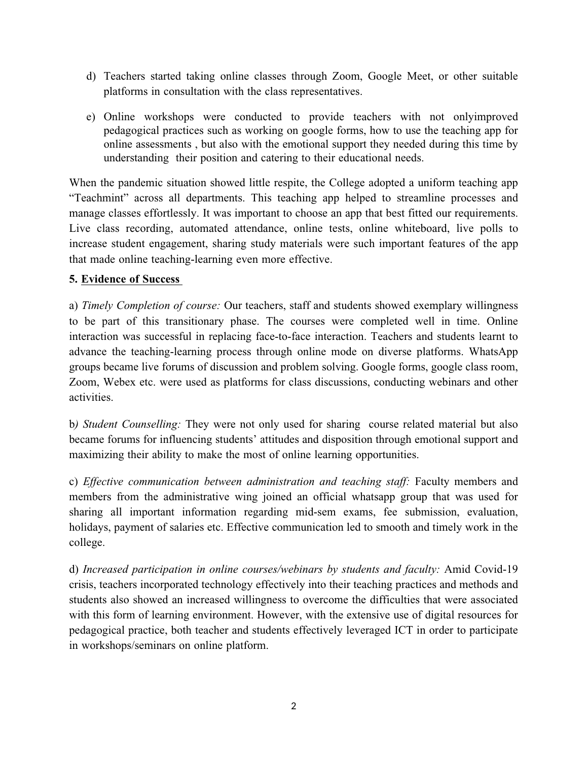- d) Teachers started taking online classes through Zoom, Google Meet, or other suitable platforms in consultation with the class representatives.
- e) Online workshops were conducted to provide teachers with not onlyimproved pedagogical practices such as working on google forms, how to use the teaching app for online assessments , but also with the emotional support they needed during this time by understanding their position and catering to their educational needs.

When the pandemic situation showed little respite, the College adopted a uniform teaching app "Teachmint" across all departments. This teaching app helped to streamline processes and manage classes effortlessly. It was important to choose an app that best fitted our requirements. Live class recording, automated attendance, online tests, online whiteboard, live polls to increase student engagement, sharing study materials were such important features of the app that made online teaching-learning even more effective.

## **5. Evidence of Success**

a) *Timely Completion of course:* Our teachers, staff and students showed exemplary willingness to be part of this transitionary phase. The courses were completed well in time. Online interaction was successful in replacing face-to-face interaction. Teachers and students learnt to advance the teaching-learning process through online mode on diverse platforms. WhatsApp groups became live forums of discussion and problem solving. Google forms, google class room, Zoom, Webex etc. were used as platforms for class discussions, conducting webinars and other activities.

b*) Student Counselling:* They were not only used for sharing course related material but also became forums for influencing students' attitudes and disposition through emotional support and maximizing their ability to make the most of online learning opportunities.

c) *Effective communication between administration and teaching staff:* Faculty members and members from the administrative wing joined an official whatsapp group that was used for sharing all important information regarding mid-sem exams, fee submission, evaluation, holidays, payment of salaries etc. Effective communication led to smooth and timely work in the college.

d) *Increased participation in online courses/webinars by students and faculty:* Amid Covid-19 crisis, teachers incorporated technology effectively into their teaching practices and methods and students also showed an increased willingness to overcome the difficulties that were associated with this form of learning environment. However, with the extensive use of digital resources for pedagogical practice, both teacher and students effectively leveraged ICT in order to participate in workshops/seminars on online platform.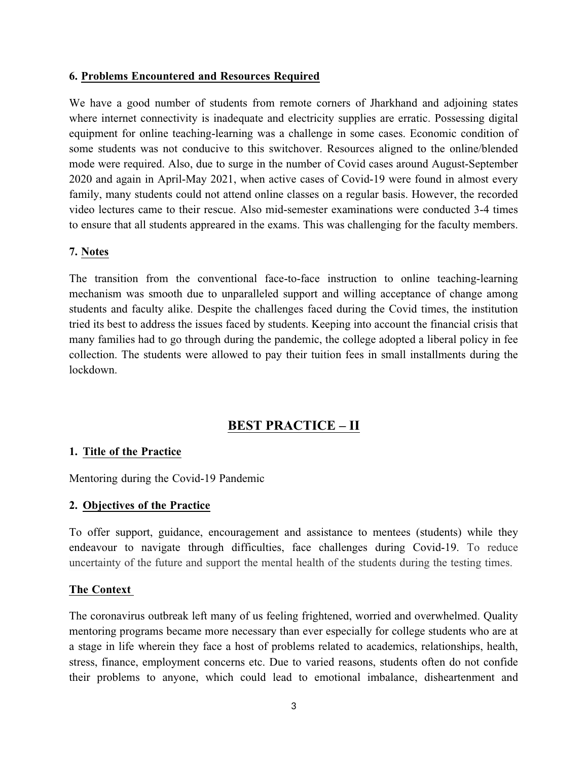## **6. Problems Encountered and Resources Required**

We have a good number of students from remote corners of Jharkhand and adjoining states where internet connectivity is inadequate and electricity supplies are erratic. Possessing digital equipment for online teaching-learning was a challenge in some cases. Economic condition of some students was not conducive to this switchover. Resources aligned to the online/blended mode were required. Also, due to surge in the number of Covid cases around August-September 2020 and again in April-May 2021, when active cases of Covid-19 were found in almost every family, many students could not attend online classes on a regular basis. However, the recorded video lectures came to their rescue. Also mid-semester examinations were conducted 3-4 times to ensure that all students appreared in the exams. This was challenging for the faculty members.

## **7. Notes**

The transition from the conventional face-to-face instruction to online teaching-learning mechanism was smooth due to unparalleled support and willing acceptance of change among students and faculty alike. Despite the challenges faced during the Covid times, the institution tried its best to address the issues faced by students. Keeping into account the financial crisis that many families had to go through during the pandemic, the college adopted a liberal policy in fee collection. The students were allowed to pay their tuition fees in small installments during the lockdown.

## **BEST PRACTICE – II**

### **1. Title of the Practice**

Mentoring during the Covid-19 Pandemic

### **2. Objectives of the Practice**

To offer support, guidance, encouragement and assistance to mentees (students) while they endeavour to navigate through difficulties, face challenges during Covid-19. To reduce uncertainty of the future and support the mental health of the students during the testing times.

### **The Context**

The coronavirus outbreak left many of us feeling frightened, worried and overwhelmed. Quality mentoring programs became more necessary than ever especially for college students who are at a stage in life wherein they face a host of problems related to academics, relationships, health, stress, finance, employment concerns etc. Due to varied reasons, students often do not confide their problems to anyone, which could lead to emotional imbalance, disheartenment and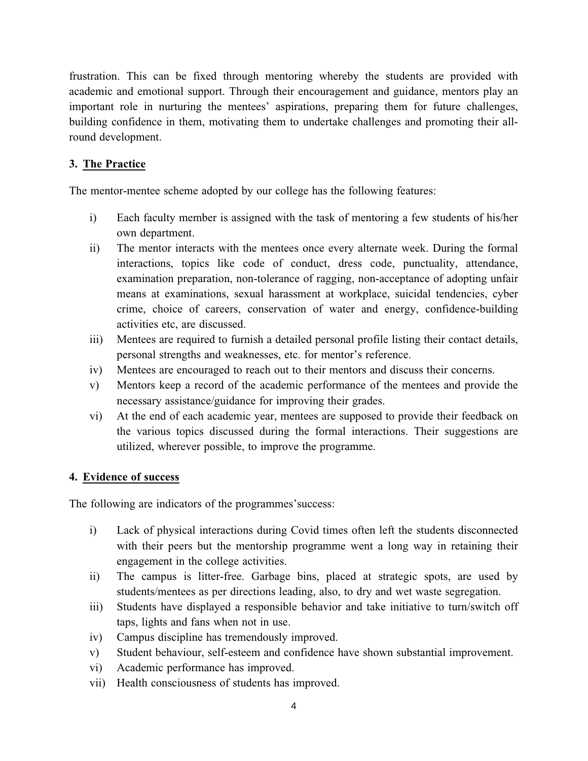frustration. This can be fixed through mentoring whereby the students are provided with academic and emotional support. Through their encouragement and guidance, mentors play an important role in nurturing the mentees' aspirations, preparing them for future challenges, building confidence in them, motivating them to undertake challenges and promoting their allround development.

## **3. The Practice**

The mentor-mentee scheme adopted by our college has the following features:

- i) Each faculty member is assigned with the task of mentoring a few students of his/her own department.
- ii) The mentor interacts with the mentees once every alternate week. During the formal interactions, topics like code of conduct, dress code, punctuality, attendance, examination preparation, non-tolerance of ragging, non-acceptance of adopting unfair means at examinations, sexual harassment at workplace, suicidal tendencies, cyber crime, choice of careers, conservation of water and energy, confidence-building activities etc, are discussed.
- iii) Mentees are required to furnish a detailed personal profile listing their contact details, personal strengths and weaknesses, etc. for mentor's reference.
- iv) Mentees are encouraged to reach out to their mentors and discuss their concerns.
- v) Mentors keep a record of the academic performance of the mentees and provide the necessary assistance/guidance for improving their grades.
- vi) At the end of each academic year, mentees are supposed to provide their feedback on the various topics discussed during the formal interactions. Their suggestions are utilized, wherever possible, to improve the programme.

## **4. Evidence of success**

The following are indicators of the programmes'success:

- i) Lack of physical interactions during Covid times often left the students disconnected with their peers but the mentorship programme went a long way in retaining their engagement in the college activities.
- ii) The campus is litter-free. Garbage bins, placed at strategic spots, are used by students/mentees as per directions leading, also, to dry and wet waste segregation.
- iii) Students have displayed a responsible behavior and take initiative to turn/switch off taps, lights and fans when not in use.
- iv) Campus discipline has tremendously improved.
- v) Student behaviour, self-esteem and confidence have shown substantial improvement.
- vi) Academic performance has improved.
- vii) Health consciousness of students has improved.